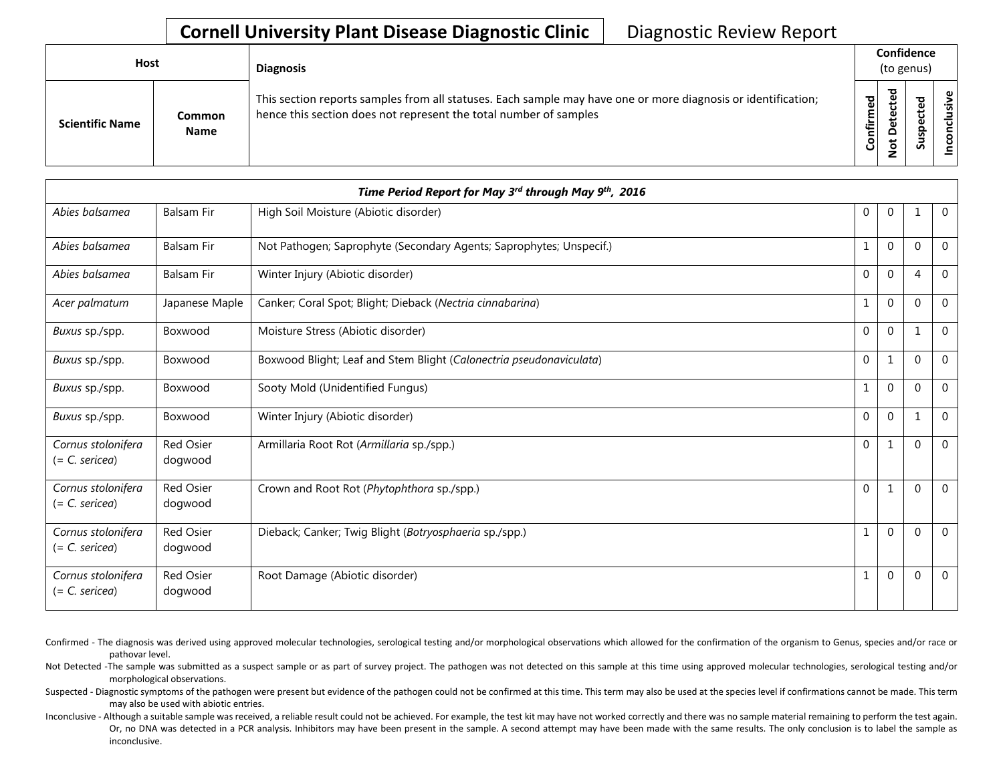## **Cornell University Plant Disease Diagnostic Clinic** | Diagnostic Review Report

| Host                   |                       | <b>Diagnosis</b>                                                                                                                                                                   |           |                                   | Confidence<br>(to genus) |             |
|------------------------|-----------------------|------------------------------------------------------------------------------------------------------------------------------------------------------------------------------------|-----------|-----------------------------------|--------------------------|-------------|
| <b>Scientific Name</b> | Common<br><b>Name</b> | This section reports samples from all statuses. Each sample may have one or more diagnosis or identification;<br>hence this section does not represent the total number of samples | Confirmed | ъ<br>ن<br>ω<br>یو<br>≏<br>ىپ<br>⇁ | ਠ<br>ທ                   | usive<br>᠊ᠣ |

|                                        |                             | Time Period Report for May 3 <sup>rd</sup> through May 9 <sup>th</sup> , 2016 |              |                |                |                |
|----------------------------------------|-----------------------------|-------------------------------------------------------------------------------|--------------|----------------|----------------|----------------|
| Abies balsamea                         | <b>Balsam Fir</b>           | High Soil Moisture (Abiotic disorder)                                         | $\mathbf{0}$ | $\overline{0}$ | 1              | $\overline{0}$ |
| Abies balsamea                         | <b>Balsam Fir</b>           | Not Pathogen; Saprophyte (Secondary Agents; Saprophytes; Unspecif.)           | 1            | $\overline{0}$ | $\mathbf 0$    | $\Omega$       |
| Abies balsamea                         | <b>Balsam Fir</b>           | Winter Injury (Abiotic disorder)                                              | $\mathbf{0}$ | $\Omega$       | $\overline{4}$ | $\Omega$       |
| Acer palmatum                          | Japanese Maple              | Canker; Coral Spot; Blight; Dieback (Nectria cinnabarina)                     | 1            | $\mathbf 0$    | $\Omega$       | $\Omega$       |
| Buxus sp./spp.                         | Boxwood                     | Moisture Stress (Abiotic disorder)                                            | 0            | $\overline{0}$ | $\mathbf 1$    | $\mathbf 0$    |
| Buxus sp./spp.                         | Boxwood                     | Boxwood Blight; Leaf and Stem Blight (Calonectria pseudonaviculata)           | $\mathbf{0}$ | 1              | $\Omega$       | $\Omega$       |
| Buxus sp./spp.                         | Boxwood                     | Sooty Mold (Unidentified Fungus)                                              | $\mathbf{1}$ | $\Omega$       | $\Omega$       | $\Omega$       |
| Buxus sp./spp.                         | Boxwood                     | Winter Injury (Abiotic disorder)                                              | $\mathbf 0$  | $\mathbf 0$    | $\mathbf 1$    | $\Omega$       |
| Cornus stolonifera<br>$(= C.$ sericea) | <b>Red Osier</b><br>dogwood | Armillaria Root Rot (Armillaria sp./spp.)                                     | $\mathbf 0$  | 1              | $\Omega$       | $\Omega$       |
| Cornus stolonifera<br>$(= C.$ sericea) | <b>Red Osier</b><br>dogwood | Crown and Root Rot (Phytophthora sp./spp.)                                    | $\mathbf{0}$ | 1              | $\mathbf{0}$   | $\mathbf 0$    |
| Cornus stolonifera<br>$(= C.$ sericea) | <b>Red Osier</b><br>dogwood | Dieback; Canker; Twig Blight (Botryosphaeria sp./spp.)                        | 1            | $\mathbf 0$    | $\Omega$       | $\Omega$       |
| Cornus stolonifera<br>$(= C.$ sericea) | <b>Red Osier</b><br>dogwood | Root Damage (Abiotic disorder)                                                | 1            | $\mathbf 0$    | $\Omega$       | $\Omega$       |

- Confirmed The diagnosis was derived using approved molecular technologies, serological testing and/or morphological observations which allowed for the confirmation of the organism to Genus, species and/or race or pathovar level.
- Not Detected -The sample was submitted as a suspect sample or as part of survey project. The pathogen was not detected on this sample at this time using approved molecular technologies, serological testing and/or morphological observations.
- Suspected Diagnostic symptoms of the pathogen were present but evidence of the pathogen could not be confirmed at this time. This term may also be used at the species level if confirmations cannot be made. This term may also be used with abiotic entries.
- Inconclusive Although a suitable sample was received, a reliable result could not be achieved. For example, the test kit may have not worked correctly and there was no sample material remaining to perform the test again. Or, no DNA was detected in a PCR analysis. Inhibitors may have been present in the sample. A second attempt may have been made with the same results. The only conclusion is to label the sample as inconclusive.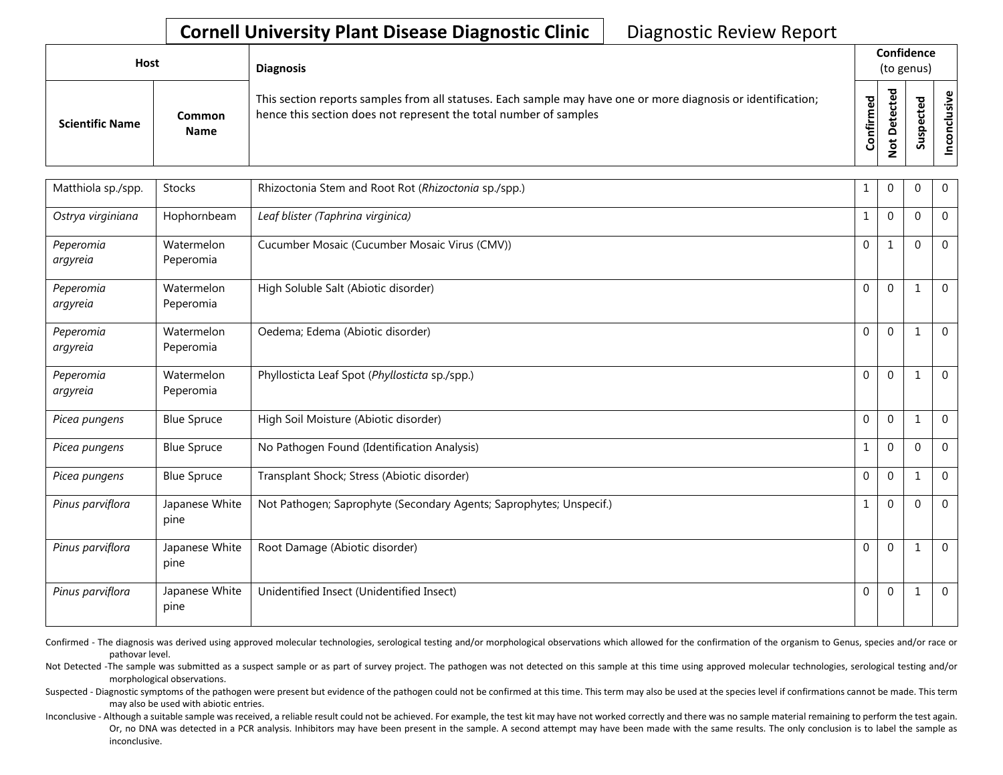## **Cornell University Plant Disease Diagnostic Clinic** | Diagnostic Review Report

| <b>Host</b>            |                       | <b>Diagnosis</b>                                                                                                                                                                   |           | Confidence<br>(to genus)                 |   |                 |
|------------------------|-----------------------|------------------------------------------------------------------------------------------------------------------------------------------------------------------------------------|-----------|------------------------------------------|---|-----------------|
| <b>Scientific Name</b> | Common<br><b>Name</b> | This section reports samples from all statuses. Each sample may have one or more diagnosis or identification;<br>hence this section does not represent the total number of samples | Confirmed | ъ<br>ں<br>Φ<br>سد<br>$\Omega$<br>سه<br>- | ശ | Φ<br>usiv<br>᠊ᠣ |

| Matthiola sp./spp.    | <b>Stocks</b>           | Rhizoctonia Stem and Root Rot (Rhizoctonia sp./spp.)                | 1            | $\mathbf 0$  | 0            | $\mathbf{0}$ |
|-----------------------|-------------------------|---------------------------------------------------------------------|--------------|--------------|--------------|--------------|
| Ostrya virginiana     | Hophornbeam             | Leaf blister (Taphrina virginica)                                   | $\mathbf{1}$ | $\mathbf 0$  | $\Omega$     | $\mathbf 0$  |
| Peperomia<br>argyreia | Watermelon<br>Peperomia | Cucumber Mosaic (Cucumber Mosaic Virus (CMV))                       | $\Omega$     | $\mathbf{1}$ | $\Omega$     | $\mathbf 0$  |
| Peperomia<br>argyreia | Watermelon<br>Peperomia | High Soluble Salt (Abiotic disorder)                                | $\mathbf 0$  | $\Omega$     | $\mathbf{1}$ | $\mathbf 0$  |
| Peperomia<br>argyreia | Watermelon<br>Peperomia | Oedema; Edema (Abiotic disorder)                                    | $\mathbf 0$  | $\mathbf 0$  | $\mathbf{1}$ | $\mathbf 0$  |
| Peperomia<br>argyreia | Watermelon<br>Peperomia | Phyllosticta Leaf Spot (Phyllosticta sp./spp.)                      | $\Omega$     | $\mathbf{0}$ | 1            | $\mathbf 0$  |
| Picea pungens         | <b>Blue Spruce</b>      | High Soil Moisture (Abiotic disorder)                               | $\Omega$     | $\Omega$     | 1            | $\Omega$     |
| Picea pungens         | <b>Blue Spruce</b>      | No Pathogen Found (Identification Analysis)                         | $\mathbf{1}$ | $\mathbf{0}$ | $\mathbf{0}$ | $\mathbf 0$  |
| Picea pungens         | <b>Blue Spruce</b>      | Transplant Shock; Stress (Abiotic disorder)                         | $\Omega$     | $\mathbf{0}$ | 1            | $\mathbf 0$  |
| Pinus parviflora      | Japanese White<br>pine  | Not Pathogen; Saprophyte (Secondary Agents; Saprophytes; Unspecif.) | $\mathbf{1}$ | $\Omega$     | $\Omega$     | $\Omega$     |
| Pinus parviflora      | Japanese White<br>pine  | Root Damage (Abiotic disorder)                                      | $\mathbf 0$  | $\mathbf{0}$ | $\mathbf{1}$ | $\mathbf 0$  |
| Pinus parviflora      | Japanese White<br>pine  | Unidentified Insect (Unidentified Insect)                           | $\mathbf 0$  | $\mathbf{0}$ | 1            | $\mathbf{0}$ |

Confirmed - The diagnosis was derived using approved molecular technologies, serological testing and/or morphological observations which allowed for the confirmation of the organism to Genus, species and/or race or pathovar level.

Not Detected -The sample was submitted as a suspect sample or as part of survey project. The pathogen was not detected on this sample at this time using approved molecular technologies, serological testing and/or morphological observations.

Suspected - Diagnostic symptoms of the pathogen were present but evidence of the pathogen could not be confirmed at this time. This term may also be used at the species level if confirmations cannot be made. This term may also be used with abiotic entries.

Inconclusive - Although a suitable sample was received, a reliable result could not be achieved. For example, the test kit may have not worked correctly and there was no sample material remaining to perform the test again. Or, no DNA was detected in a PCR analysis. Inhibitors may have been present in the sample. A second attempt may have been made with the same results. The only conclusion is to label the sample as inconclusive.